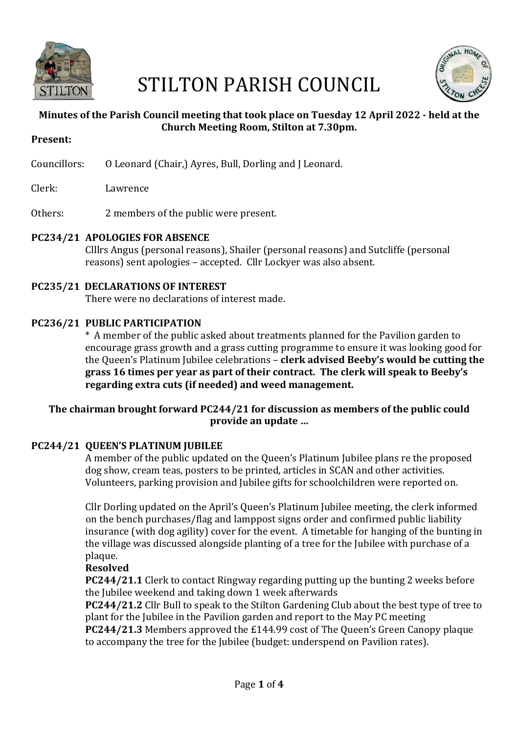

# STILTON PARISH COUNCIL



## **Minutes of the Parish Council meeting that took place on Tuesday 12 April 2022 - held at the Church Meeting Room, Stilton at 7.30pm.**

- **Present:**
- Councillors: 0 Leonard (Chair,) Ayres, Bull, Dorling and J Leonard.
- Clerk: Lawrence
- Others: 2 members of the public were present.

## **PC234/21 APOLOGIES FOR ABSENCE**

Clllrs Angus (personal reasons), Shailer (personal reasons) and Sutcliffe (personal reasons) sent apologies – accepted. Cllr Lockyer was also absent.

# **PC235/21 DECLARATIONS OF INTEREST**

There were no declarations of interest made.

## **PC236/21 PUBLIC PARTICIPATION**

 \* A member of the public asked about treatments planned for the Pavilion garden to encourage grass growth and a grass cutting programme to ensure it was looking good for the Queen's Platinum Jubilee celebrations – **clerk advised Beeby's would be cutting the** grass 16 times per year as part of their contract. The clerk will speak to Beeby's regarding extra cuts (if needed) and weed management.

## The chairman brought forward PC244/21 for discussion as members of the public could provide an update ...

## **PC244/21 OUEEN'S PLATINUM IUBILEE**

A member of the public updated on the Queen's Platinum Jubilee plans re the proposed dog show, cream teas, posters to be printed, articles in SCAN and other activities. Volunteers, parking provision and Jubilee gifts for schoolchildren were reported on.

Cllr Dorling updated on the April's Queen's Platinum Jubilee meeting, the clerk informed on the bench purchases/flag and lamppost signs order and confirmed public liability insurance (with dog agility) cover for the event. A timetable for hanging of the bunting in the village was discussed alongside planting of a tree for the Jubilee with purchase of a plaque.

#### **Resolved**

**PC244/21.1** Clerk to contact Ringway regarding putting up the bunting 2 weeks before the Jubilee weekend and taking down 1 week afterwards

**PC244/21.2** Cllr Bull to speak to the Stilton Gardening Club about the best type of tree to plant for the Jubilee in the Pavilion garden and report to the May PC meeting

**PC244/21.3** Members approved the £144.99 cost of The Queen's Green Canopy plaque to accompany the tree for the Jubilee (budget: underspend on Pavilion rates).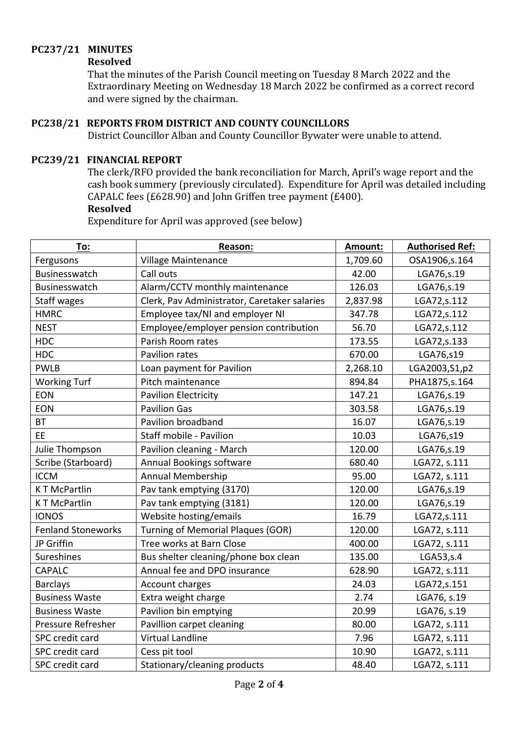# **PC237/21 MINUTES**

#### **Resolved**

That the minutes of the Parish Council meeting on Tuesday 8 March 2022 and the Extraordinary Meeting on Wednesday 18 March 2022 be confirmed as a correct record and were signed by the chairman.

# **PC238/21 REPORTS FROM DISTRICT AND COUNTY COUNCILLORS**

District Councillor Alban and County Councillor Bywater were unable to attend.

#### **PC239/21 FINANCIAL REPORT**

The clerk/RFO provided the bank reconciliation for March, April's wage report and the cash book summery (previously circulated). Expenditure for April was detailed including CAPALC fees  $(E628.90)$  and John Griffen tree payment  $(E400)$ .

#### **Resolved**

Expenditure for April was approved (see below)

| To:                       | Reason:                                      | Amount:  | <b>Authorised Ref:</b> |
|---------------------------|----------------------------------------------|----------|------------------------|
| Fergusons                 | Village Maintenance                          | 1,709.60 | OSA1906,s.164          |
| Businesswatch             | Call outs                                    | 42.00    | LGA76, s.19            |
| Businesswatch             | Alarm/CCTV monthly maintenance               | 126.03   | LGA76, s.19            |
| <b>Staff wages</b>        | Clerk, Pav Administrator, Caretaker salaries | 2,837.98 | LGA72,s.112            |
| <b>HMRC</b>               | Employee tax/NI and employer NI              | 347.78   | LGA72,s.112            |
| <b>NEST</b>               | Employee/employer pension contribution       | 56.70    | LGA72, s.112           |
| <b>HDC</b>                | Parish Room rates                            | 173.55   | LGA72, s.133           |
| <b>HDC</b>                | Pavilion rates                               | 670.00   | LGA76,s19              |
| <b>PWLB</b>               | Loan payment for Pavilion                    | 2,268.10 | LGA2003, S1, p2        |
| <b>Working Turf</b>       | Pitch maintenance                            | 894.84   | PHA1875, s. 164        |
| <b>EON</b>                | <b>Pavilion Electricity</b>                  | 147.21   | LGA76,s.19             |
| <b>EON</b>                | <b>Pavilion Gas</b>                          | 303.58   | LGA76,s.19             |
| <b>BT</b>                 | Pavilion broadband                           | 16.07    | LGA76, s.19            |
| EE                        | Staff mobile - Pavilion                      | 10.03    | LGA76,s19              |
| Julie Thompson            | Pavilion cleaning - March                    | 120.00   | LGA76,s.19             |
| Scribe (Starboard)        | Annual Bookings software                     | 680.40   | LGA72, s.111           |
| <b>ICCM</b>               | Annual Membership                            | 95.00    | LGA72, s.111           |
| <b>KT McPartlin</b>       | Pav tank emptying (3170)                     | 120.00   | LGA76,s.19             |
| <b>KT McPartlin</b>       | Pav tank emptying (3181)                     | 120.00   | LGA76, s.19            |
| <b>IONOS</b>              | Website hosting/emails                       | 16.79    | LGA72,s.111            |
| <b>Fenland Stoneworks</b> | <b>Turning of Memorial Plaques (GOR)</b>     | 120.00   | LGA72, s.111           |
| JP Griffin                | Tree works at Barn Close                     | 400.00   | LGA72, s.111           |
| Sureshines                | Bus shelter cleaning/phone box clean         | 135.00   | LGA53, s.4             |
| <b>CAPALC</b>             | Annual fee and DPO insurance                 | 628.90   | LGA72, s.111           |
| <b>Barclays</b>           | Account charges                              | 24.03    | LGA72, s.151           |
| <b>Business Waste</b>     | Extra weight charge                          | 2.74     | LGA76, s.19            |
| <b>Business Waste</b>     | Pavilion bin emptying                        | 20.99    | LGA76, s.19            |
| Pressure Refresher        | Pavillion carpet cleaning                    | 80.00    | LGA72, s.111           |
| SPC credit card           | <b>Virtual Landline</b>                      | 7.96     | LGA72, s.111           |
| SPC credit card           | Cess pit tool                                | 10.90    | LGA72, s.111           |
| SPC credit card           | Stationary/cleaning products                 | 48.40    | LGA72, s.111           |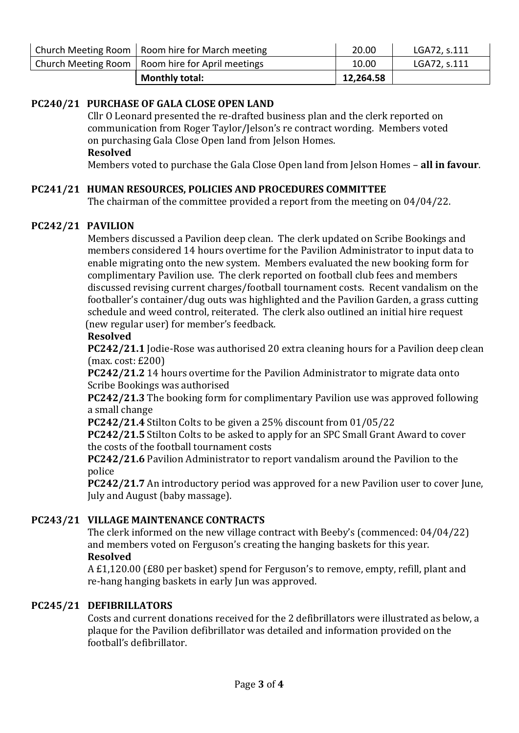| Church Meeting Room   Room hire for March meeting  | 20.00     | LGA72, s.111 |
|----------------------------------------------------|-----------|--------------|
| Church Meeting Room   Room hire for April meetings | 10.00     | LGA72, s.111 |
| <b>Monthly total:</b>                              | 12,264.58 |              |

## **PC240/21 PURCHASE OF GALA CLOSE OPEN LAND**

Cllr O Leonard presented the re-drafted business plan and the clerk reported on communication from Roger Taylor/Jelson's re contract wording. Members voted on purchasing Gala Close Open land from Jelson Homes. **Resolved**

**Members voted to purchase the Gala Close Open land from Jelson Homes - all in favour.** 

## **PC241/21 HUMAN RESOURCES, POLICIES AND PROCEDURES COMMITTEE**

The chairman of the committee provided a report from the meeting on  $04/04/22$ .

#### **PC242/21 PAVILION**

Members discussed a Pavilion deep clean. The clerk updated on Scribe Bookings and members considered 14 hours overtime for the Pavilion Administrator to input data to enable migrating onto the new system. Members evaluated the new booking form for complimentary Pavilion use. The clerk reported on football club fees and members discussed revising current charges/football tournament costs. Recent vandalism on the footballer's container/dug outs was highlighted and the Pavilion Garden, a grass cutting schedule and weed control, reiterated. The clerk also outlined an initial hire request (new regular user) for member's feedback.

#### **Resolved**

**PC242/21.1** Jodie-Rose was authorised 20 extra cleaning hours for a Pavilion deep clean  $(max. cost: £200)$ 

**PC242/21.2** 14 hours overtime for the Pavilion Administrator to migrate data onto Scribe Bookings was authorised

**PC242/21.3** The booking form for complimentary Pavilion use was approved following a small change

**PC242/21.4** Stilton Colts to be given a 25% discount from 01/05/22

**PC242/21.5** Stilton Colts to be asked to apply for an SPC Small Grant Award to cover the costs of the football tournament costs

**PC242/21.6** Pavilion Administrator to report vandalism around the Pavilion to the police 

**PC242/21.7** An introductory period was approved for a new Pavilion user to cover June, July and August (baby massage).

## **PC243/21 VILLAGE MAINTENANCE CONTRACTS**

The clerk informed on the new village contract with Beeby's (commenced:  $04/04/22$ ) and members voted on Ferguson's creating the hanging baskets for this year.  **Resolved**

A £1,120.00 (£80 per basket) spend for Ferguson's to remove, empty, refill, plant and re-hang hanging baskets in early Jun was approved.

#### **PC245/21 DEFIBRILLATORS**

Costs and current donations received for the 2 defibrillators were illustrated as below, a plaque for the Pavilion defibrillator was detailed and information provided on the football's defibrillator.